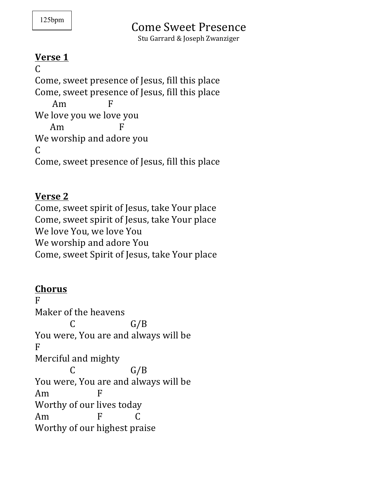# Come Sweet Presence

Stu Garrard & Joseph Zwanziger

#### **Verse 1**

C Come, sweet presence of Jesus, fill this place Come, sweet presence of Jesus, fill this place  $Am$   $F$ We love you we love you  $Am$ We worship and adore you  $\mathcal{C}$ Come, sweet presence of Jesus, fill this place

#### **Verse 2**

Come, sweet spirit of Jesus, take Your place Come, sweet spirit of Jesus, take Your place We love You, we love You We worship and adore You Come, sweet Spirit of Jesus, take Your place

## **Chorus**

F Maker of the heavens  $C$   $G/B$ You were, You are and always will be F Merciful and mighty  $C$   $G/B$ You were, You are and always will be Am F Worthy of our lives today Am F C Worthy of our highest praise